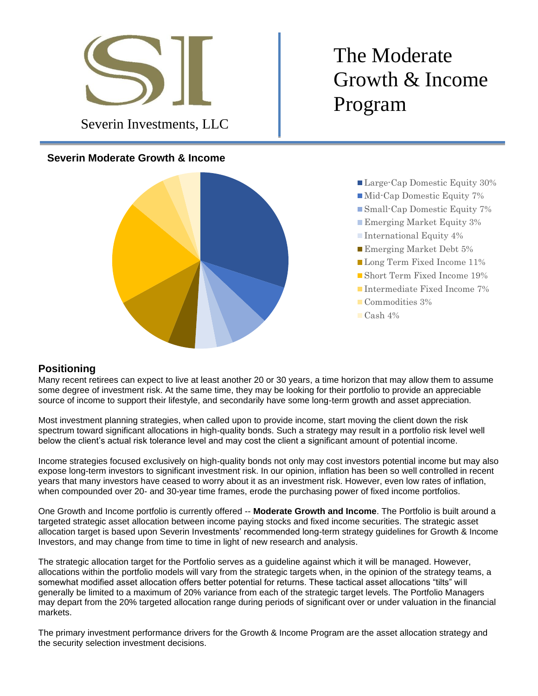

# The Moderate Growth & Income Program

### **Severin Moderate Growth & Income**



■ Large-Cap Domestic Equity 30%

- Mid-Cap Domestic Equity 7%
- Small-Cap Domestic Equity 7%
- **Example 1** Emerging Market Equity 3%
- International Equity  $4\%$
- Emerging Market Debt 5%
- **Long Term Fixed Income 11%**
- Short Term Fixed Income 19%
- Intermediate Fixed Income 7%
- Commodities 3%
- Cash 4%

## **Positioning**

Many recent retirees can expect to live at least another 20 or 30 years, a time horizon that may allow them to assume some degree of investment risk. At the same time, they may be looking for their portfolio to provide an appreciable source of income to support their lifestyle, and secondarily have some long-term growth and asset appreciation.

Most investment planning strategies, when called upon to provide income, start moving the client down the risk spectrum toward significant allocations in high-quality bonds. Such a strategy may result in a portfolio risk level well below the client's actual risk tolerance level and may cost the client a significant amount of potential income.

Income strategies focused exclusively on high-quality bonds not only may cost investors potential income but may also expose long-term investors to significant investment risk. In our opinion, inflation has been so well controlled in recent years that many investors have ceased to worry about it as an investment risk. However, even low rates of inflation, when compounded over 20- and 30-year time frames, erode the purchasing power of fixed income portfolios.

One Growth and Income portfolio is currently offered -- **Moderate Growth and Income**. The Portfolio is built around a targeted strategic asset allocation between income paying stocks and fixed income securities. The strategic asset allocation target is based upon Severin Investments' recommended long-term strategy guidelines for Growth & Income Investors, and may change from time to time in light of new research and analysis.

The strategic allocation target for the Portfolio serves as a guideline against which it will be managed. However, allocations within the portfolio models will vary from the strategic targets when, in the opinion of the strategy teams, a somewhat modified asset allocation offers better potential for returns. These tactical asset allocations "tilts" will generally be limited to a maximum of 20% variance from each of the strategic target levels. The Portfolio Managers may depart from the 20% targeted allocation range during periods of significant over or under valuation in the financial markets.

The primary investment performance drivers for the Growth & Income Program are the asset allocation strategy and the security selection investment decisions.